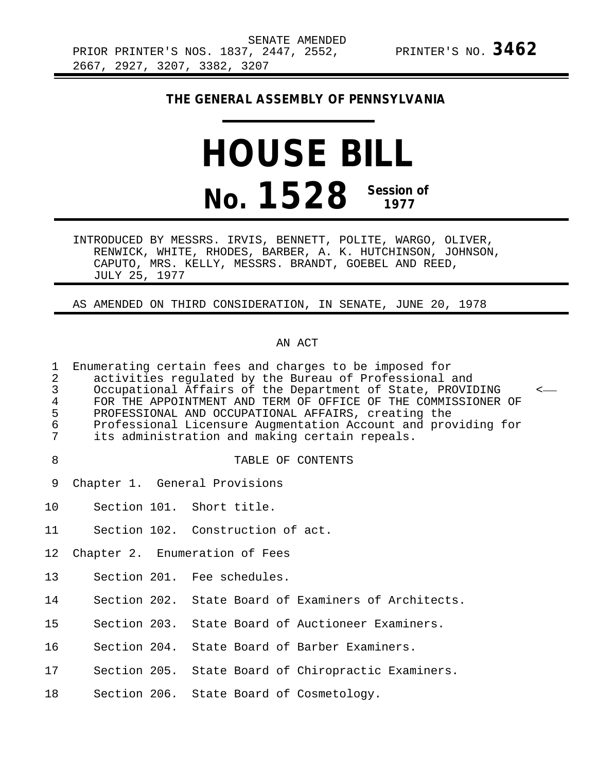## **THE GENERAL ASSEMBLY OF PENNSYLVANIA**

## **HOUSE BILL No. 1528 Session of 1977**

INTRODUCED BY MESSRS. IRVIS, BENNETT, POLITE, WARGO, OLIVER, RENWICK, WHITE, RHODES, BARBER, A. K. HUTCHINSON, JOHNSON, CAPUTO, MRS. KELLY, MESSRS. BRANDT, GOEBEL AND REED, JULY 25, 1977

AS AMENDED ON THIRD CONSIDERATION, IN SENATE, JUNE 20, 1978

## AN ACT

| $\mathbf{1}$<br>2<br>$\mathsf{3}$<br>4<br>5<br>6<br>7 |                                   |  |  | Enumerating certain fees and charges to be imposed for<br>activities regulated by the Bureau of Professional and<br>Occupational Affairs of the Department of State, PROVIDING<br>FOR THE APPOINTMENT AND TERM OF OFFICE OF THE COMMISSIONER OF<br>PROFESSIONAL AND OCCUPATIONAL AFFAIRS, creating the<br>Professional Licensure Augmentation Account and providing for<br>its administration and making certain repeals. | < |
|-------------------------------------------------------|-----------------------------------|--|--|---------------------------------------------------------------------------------------------------------------------------------------------------------------------------------------------------------------------------------------------------------------------------------------------------------------------------------------------------------------------------------------------------------------------------|---|
| 8                                                     |                                   |  |  | TABLE OF CONTENTS                                                                                                                                                                                                                                                                                                                                                                                                         |   |
| 9                                                     | Chapter 1. General Provisions     |  |  |                                                                                                                                                                                                                                                                                                                                                                                                                           |   |
| 10                                                    | Section 101. Short title.         |  |  |                                                                                                                                                                                                                                                                                                                                                                                                                           |   |
| 11                                                    | Section 102. Construction of act. |  |  |                                                                                                                                                                                                                                                                                                                                                                                                                           |   |
| 12 <sub>1</sub>                                       | Chapter 2. Enumeration of Fees    |  |  |                                                                                                                                                                                                                                                                                                                                                                                                                           |   |
| 13                                                    | Section 201. Fee schedules.       |  |  |                                                                                                                                                                                                                                                                                                                                                                                                                           |   |
| 14                                                    |                                   |  |  | Section 202. State Board of Examiners of Architects.                                                                                                                                                                                                                                                                                                                                                                      |   |
| 15                                                    |                                   |  |  | Section 203. State Board of Auctioneer Examiners.                                                                                                                                                                                                                                                                                                                                                                         |   |
| 16                                                    |                                   |  |  | Section 204. State Board of Barber Examiners.                                                                                                                                                                                                                                                                                                                                                                             |   |
| 17                                                    |                                   |  |  | Section 205. State Board of Chiropractic Examiners.                                                                                                                                                                                                                                                                                                                                                                       |   |
| 18                                                    |                                   |  |  | Section 206. State Board of Cosmetology.                                                                                                                                                                                                                                                                                                                                                                                  |   |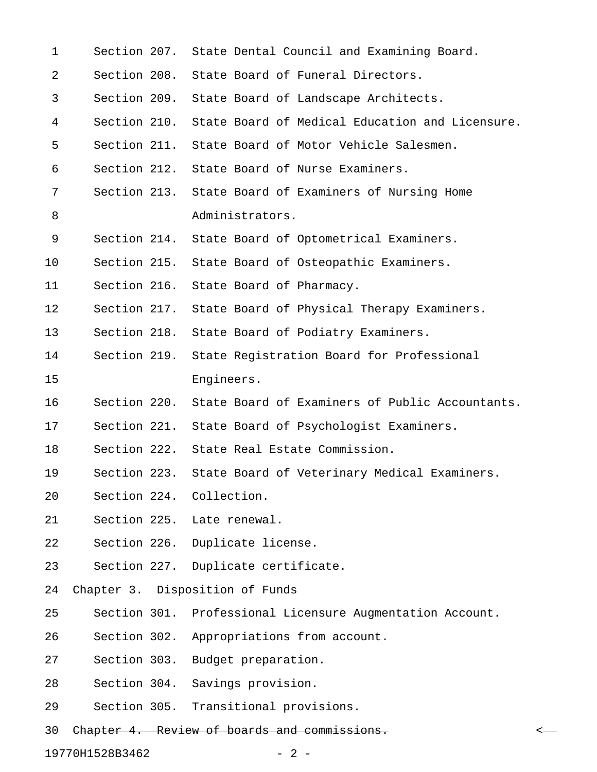| 30     |                              | Chapter 4. Review of boards and commissions.                              | ≺ |
|--------|------------------------------|---------------------------------------------------------------------------|---|
| 29     | Section 305.                 | Transitional provisions.                                                  |   |
| 28     | Section 304.                 | Savings provision.                                                        |   |
| 27     | Section 303.                 | Budget preparation.                                                       |   |
| 26     | Section 302.                 | Appropriations from account.                                              |   |
| 25     |                              | Section 301. Professional Licensure Augmentation Account.                 |   |
| 24     |                              | Chapter 3. Disposition of Funds                                           |   |
| 23     | Section 227.                 | Duplicate certificate.                                                    |   |
| 22     | Section 226.                 | Duplicate license.                                                        |   |
| 21     | Section 225.                 | Late renewal.                                                             |   |
| 20     |                              | Section 224. Collection.                                                  |   |
| 19     |                              | Section 223. State Board of Veterinary Medical Examiners.                 |   |
| 18     | Section 222.                 | State Real Estate Commission.                                             |   |
| 17     | Section 221.                 | State Board of Psychologist Examiners.                                    |   |
| 16     | Section 220.                 | State Board of Examiners of Public Accountants.                           |   |
| 15     |                              | Engineers.                                                                |   |
| 14     | Section 219.                 | State Registration Board for Professional                                 |   |
| 13     | Section 218.                 | State Board of Podiatry Examiners.                                        |   |
| 12     | Section 217.                 | State Board of Physical Therapy Examiners.                                |   |
| 11     | Section 216.                 | State Board of Pharmacy.                                                  |   |
| 10     |                              | Section 215. State Board of Osteopathic Examiners.                        |   |
| 9      |                              | Section 214. State Board of Optometrical Examiners.                       |   |
| 8      |                              | Administrators.                                                           |   |
| 6<br>7 | Section 213.                 | State Board of Examiners of Nursing Home                                  |   |
| 5      | Section 212.                 | State Board of Motor Vehicle Salesmen.<br>State Board of Nurse Examiners. |   |
| 4      | Section 210.<br>Section 211. | State Board of Medical Education and Licensure.                           |   |
| 3      | Section 209.                 | State Board of Landscape Architects.                                      |   |
| 2      | Section 208.                 | State Board of Funeral Directors.                                         |   |
| 1      |                              | Section 207. State Dental Council and Examining Board.                    |   |
|        |                              |                                                                           |   |

19770H1528B3462 - 2 -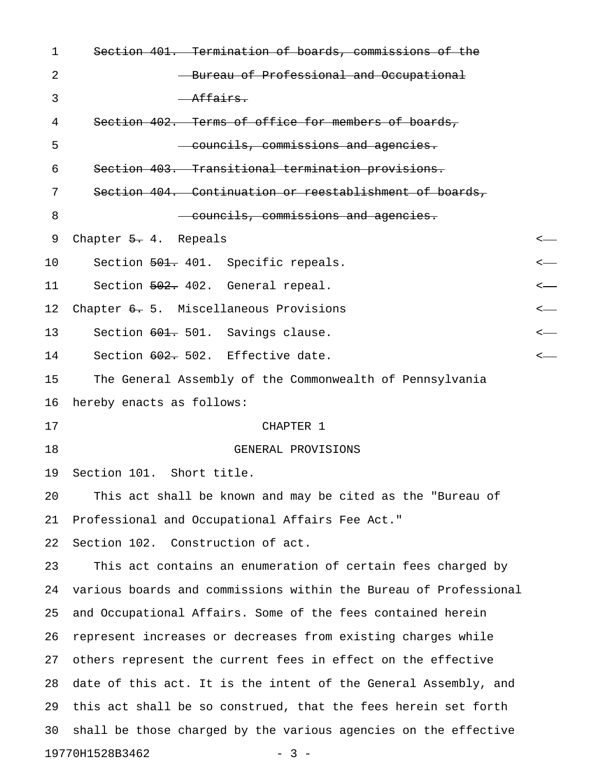| $\mathbf 1$ | Section 401. Termination of boards, commissions of the           |                          |
|-------------|------------------------------------------------------------------|--------------------------|
| 2           | Bureau of Professional and Occupational                          |                          |
| 3           | <del>Affairs.</del>                                              |                          |
| 4           | Section 402. Terms of office for members of boards,              |                          |
| 5           | councils, commissions and agencies.                              |                          |
| 6           | Section 403. Transitional termination provisions.                |                          |
| 7           | Section 404. Continuation or reestablishment of boards,          |                          |
| 8           | councils, commissions and agencies.                              |                          |
| 9           | Chapter $\frac{5}{2}$ 4. Repeals                                 | <—                       |
| 10          | Section 501. 401. Specific repeals.                              | <—                       |
| 11          | Section 502. 402. General repeal.                                | <u>&lt;—</u>             |
| 12          | Chapter 6. 5. Miscellaneous Provisions                           | $\overline{\phantom{a}}$ |
| 13          | Section 601. 501. Savings clause.                                | $\overline{\phantom{a}}$ |
| 14          | Section 602. 502. Effective date.                                | <—                       |
| 15          | The General Assembly of the Commonwealth of Pennsylvania         |                          |
| 16          | hereby enacts as follows:                                        |                          |
| 17          | CHAPTER 1                                                        |                          |
| 18          | GENERAL PROVISIONS                                               |                          |
| 19          | Section 101. Short title.                                        |                          |
| 20          | This act shall be known and may be cited as the "Bureau of       |                          |
| 21          | Professional and Occupational Affairs Fee Act."                  |                          |
| 22          | Section 102. Construction of act.                                |                          |
| 23          | This act contains an enumeration of certain fees charged by      |                          |
| 24          | various boards and commissions within the Bureau of Professional |                          |
| 25          | and Occupational Affairs. Some of the fees contained herein      |                          |
| 26          | represent increases or decreases from existing charges while     |                          |
| 27          | others represent the current fees in effect on the effective     |                          |
| 28          | date of this act. It is the intent of the General Assembly, and  |                          |
| 29          | this act shall be so construed, that the fees herein set forth   |                          |
| 30          | shall be those charged by the various agencies on the effective  |                          |
|             | 19770H1528B3462<br>$-3 -$                                        |                          |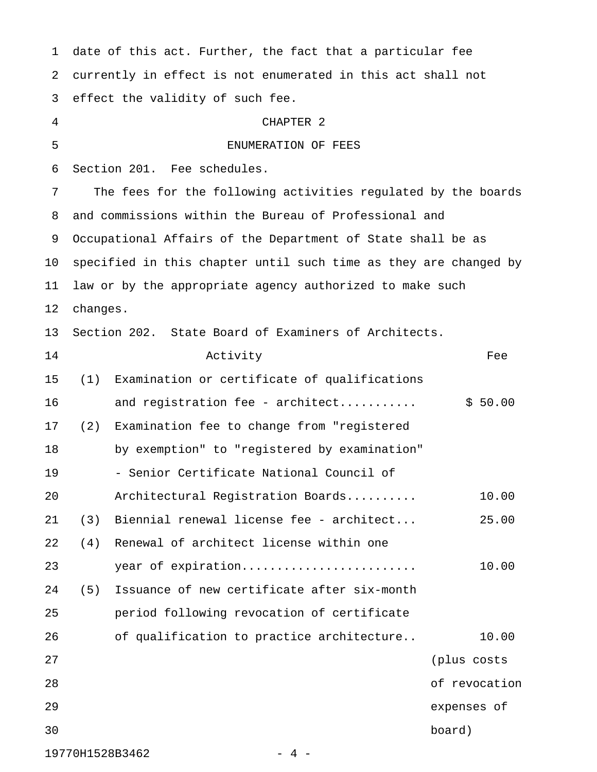| $\mathbf 1$ |          | date of this act. Further, the fact that a particular fee        |               |
|-------------|----------|------------------------------------------------------------------|---------------|
| 2           |          | currently in effect is not enumerated in this act shall not      |               |
| 3           |          | effect the validity of such fee.                                 |               |
| 4           |          | CHAPTER <sub>2</sub>                                             |               |
| 5           |          | ENUMERATION OF FEES                                              |               |
| 6           |          | Section 201. Fee schedules.                                      |               |
| 7           |          | The fees for the following activities regulated by the boards    |               |
| 8           |          | and commissions within the Bureau of Professional and            |               |
| 9           |          | Occupational Affairs of the Department of State shall be as      |               |
| 10          |          | specified in this chapter until such time as they are changed by |               |
| 11          |          | law or by the appropriate agency authorized to make such         |               |
| 12          | changes. |                                                                  |               |
| 13          |          | Section 202. State Board of Examiners of Architects.             |               |
| 14          |          | Activity                                                         | Fee           |
| 15          | (1)      | Examination or certificate of qualifications                     |               |
| 16          |          | and registration fee - architect                                 | \$50.00       |
| 17          | (2)      | Examination fee to change from "registered                       |               |
| 18          |          | by exemption" to "registered by examination"                     |               |
| 19          |          | - Senior Certificate National Council of                         |               |
| 20          |          | Architectural Registration Boards                                | 10.00         |
| 21          | (3)      | Biennial renewal license fee - architect                         | 25.00         |
| 22          | (4)      | Renewal of architect license within one                          |               |
| 23          |          | year of expiration                                               | 10.00         |
| 24          | (5)      | Issuance of new certificate after six-month                      |               |
| 25          |          | period following revocation of certificate                       |               |
| 26          |          | of qualification to practice architecture                        | 10.00         |
| 27          |          |                                                                  | (plus costs   |
| 28          |          |                                                                  | of revocation |
| 29          |          |                                                                  | expenses of   |
| 30          |          |                                                                  | board)        |

19770H1528B3462 - 4 -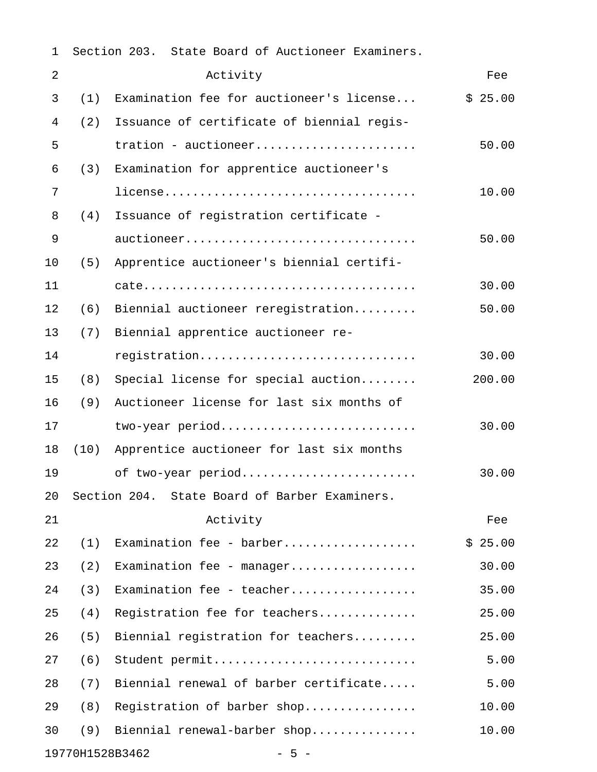| $\mathbf 1$    |      | Section 203. State Board of Auctioneer Examiners. |         |
|----------------|------|---------------------------------------------------|---------|
| $\overline{2}$ |      | Activity                                          | Fee     |
| 3              | (1)  | Examination fee for auctioneer's license          | \$25.00 |
| 4              | (2)  | Issuance of certificate of biennial regis-        |         |
| 5              |      | tration - auctioneer                              | 50.00   |
| 6              | (3)  | Examination for apprentice auctioneer's           |         |
| 7              |      |                                                   | 10.00   |
| 8              | (4)  | Issuance of registration certificate -            |         |
| 9              |      | auctioneer                                        | 50.00   |
| 10             | (5)  | Apprentice auctioneer's biennial certifi-         |         |
| 11             |      |                                                   | 30.00   |
| 12             | (6)  | Biennial auctioneer reregistration                | 50.00   |
| 13             | (7)  | Biennial apprentice auctioneer re-                |         |
| 14             |      | registration                                      | 30.00   |
| 15             | (8)  | Special license for special auction               | 200.00  |
| 16             | (9)  | Auctioneer license for last six months of         |         |
| 17             |      | two-year period                                   | 30.00   |
| 18             | (10) | Apprentice auctioneer for last six months         |         |
| 19             |      | of two-year period                                | 30.00   |
| 20             |      | Section 204. State Board of Barber Examiners.     |         |
| 21             |      | Activity                                          | Fee     |
| 22             | (1)  | Examination fee - barber                          | \$25.00 |
| 23             | (2)  | Examination fee - manager                         | 30.00   |
| 24             | (3)  | Examination fee - teacher                         | 35.00   |
| 25             | (4)  | Registration fee for teachers                     | 25.00   |
| 26             | (5)  | Biennial registration for teachers                | 25.00   |
| 27             | (6)  | Student permit                                    | 5.00    |
| 28             | (7)  | Biennial renewal of barber certificate            | 5.00    |
| 29             | (8)  | Registration of barber shop                       | 10.00   |
| 30             | (9)  | Biennial renewal-barber shop                      | 10.00   |
|                |      | 19770H1528B3462<br>$-5 -$                         |         |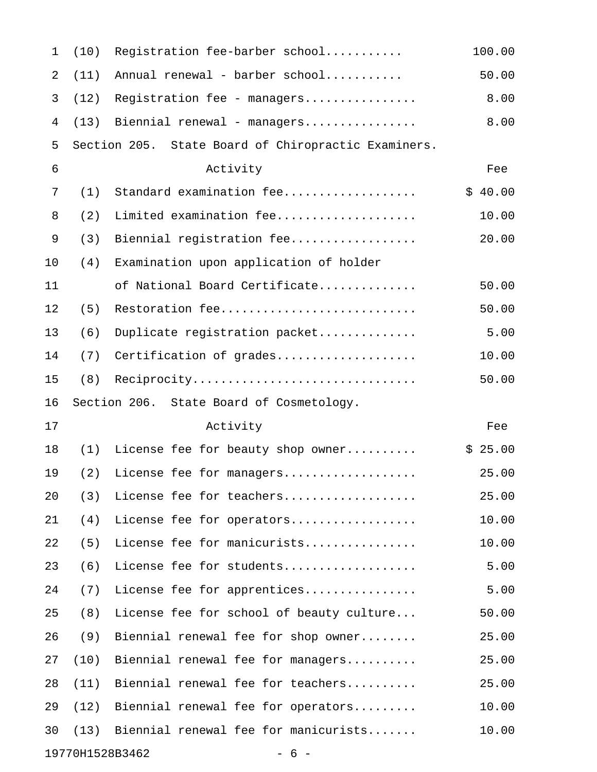| $\mathbf{1}$   | (10) | Registration fee-barber school                      | 100.00  |
|----------------|------|-----------------------------------------------------|---------|
| 2              | (11) | Annual renewal - barber school                      | 50.00   |
| 3              | (12) | Registration fee - managers                         | 8.00    |
| $\overline{4}$ | (13) | Biennial renewal - managers                         | 8.00    |
| 5              |      | Section 205. State Board of Chiropractic Examiners. |         |
| 6              |      | Activity                                            | Fee     |
| 7              | (1)  | Standard examination fee                            | \$40.00 |
| $\,8\,$        | (2)  | Limited examination fee                             | 10.00   |
| 9              | (3)  | Biennial registration fee                           | 20.00   |
| 10             | (4)  | Examination upon application of holder              |         |
| 11             |      | of National Board Certificate                       | 50.00   |
| 12             | (5)  | Restoration fee                                     | 50.00   |
| 13             | (6)  | Duplicate registration packet                       | 5.00    |
| 14             | (7)  | Certification of grades                             | 10.00   |
| 15             | (8)  | Reciprocity                                         | 50.00   |
| 16             |      | Section 206. State Board of Cosmetology.            |         |
| 17             |      | Activity                                            | Fee     |
| 18             | (1)  | License fee for beauty shop owner                   | \$25.00 |
| 19             | (2)  | License fee for managers                            | 25.00   |
| 20             | (3)  | License fee for teachers                            | 25.00   |
| 21             | (4)  | License fee for operators                           | 10.00   |
| 22             | (5)  | License fee for manicurists                         | 10.00   |
| 23             | (6)  | License fee for students                            | 5.00    |
| 24             | (7)  | License fee for apprentices                         | 5.00    |
| 25             | (8)  | License fee for school of beauty culture            | 50.00   |
| 26             | (9)  | Biennial renewal fee for shop owner                 | 25.00   |
| 27             | (10) | Biennial renewal fee for managers                   | 25.00   |
| 28             | (11) | Biennial renewal fee for teachers                   | 25.00   |
| 29             | (12) | Biennial renewal fee for operators                  | 10.00   |
| 30             | (13) | Biennial renewal fee for manicurists                | 10.00   |
|                |      | 19770H1528B3462<br>$-6-$                            |         |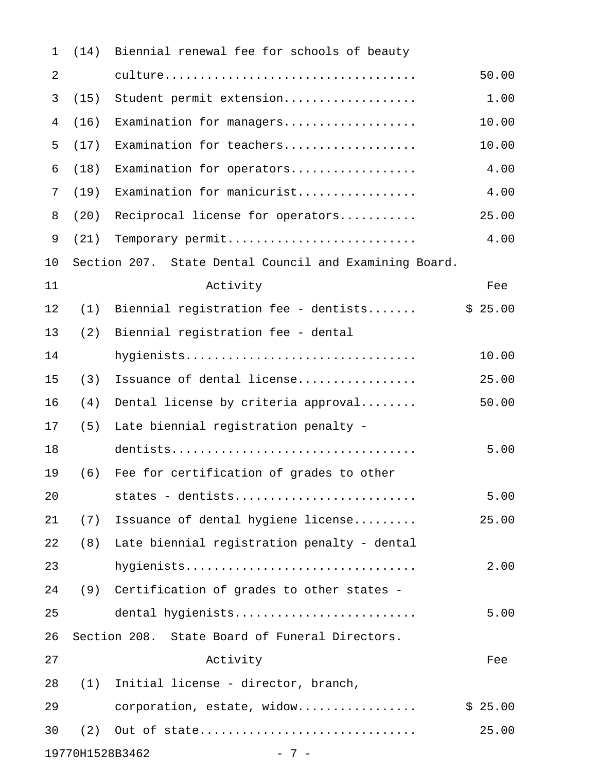| 1              | (14) | Biennial renewal fee for schools of beauty             |         |
|----------------|------|--------------------------------------------------------|---------|
| $\overline{2}$ |      |                                                        | 50.00   |
| 3              | (15) | Student permit extension                               | 1.00    |
| 4              | (16) | Examination for managers                               | 10.00   |
| 5              | (17) | Examination for teachers                               | 10.00   |
| 6              | (18) | Examination for operators                              | 4.00    |
| 7              | (19) | Examination for manicurist                             | 4.00    |
| 8              | (20) | Reciprocal license for operators                       | 25.00   |
| 9              | (21) | Temporary permit                                       | 4.00    |
| 10             |      | Section 207. State Dental Council and Examining Board. |         |
| 11             |      | Activity                                               | Fee     |
| 12             | (1)  | Biennial registration fee - dentists                   | \$25.00 |
| 13             | (2)  | Biennial registration fee - dental                     |         |
| 14             |      | hygienists                                             | 10.00   |
| 15             | (3)  | Issuance of dental license                             | 25.00   |
| 16             | (4)  | Dental license by criteria approval                    | 50.00   |
| 17             | (5)  | Late biennial registration penalty -                   |         |
| 18             |      |                                                        | 5.00    |
| 19             | (6)  | Fee for certification of grades to other               |         |
| 20             |      | states - dentists                                      | 5.00    |
| 21             | (7)  | Issuance of dental hygiene license                     | 25.00   |
| 22             | (8)  | Late biennial registration penalty - dental            |         |
| 23             |      | hygienists                                             | 2.00    |
| 24             | (9)  | Certification of grades to other states -              |         |
| 25             |      | dental hygienists                                      | 5.00    |
| 26             |      | Section 208. State Board of Funeral Directors.         |         |
| 27             |      | Activity                                               | Fee     |
| 28             | (1)  | Initial license - director, branch,                    |         |
| 29             |      | corporation, estate, widow                             | \$25.00 |
| 30             | (2)  | Out of state                                           | 25.00   |
|                |      | 19770H1528B3462<br>$-7-$                               |         |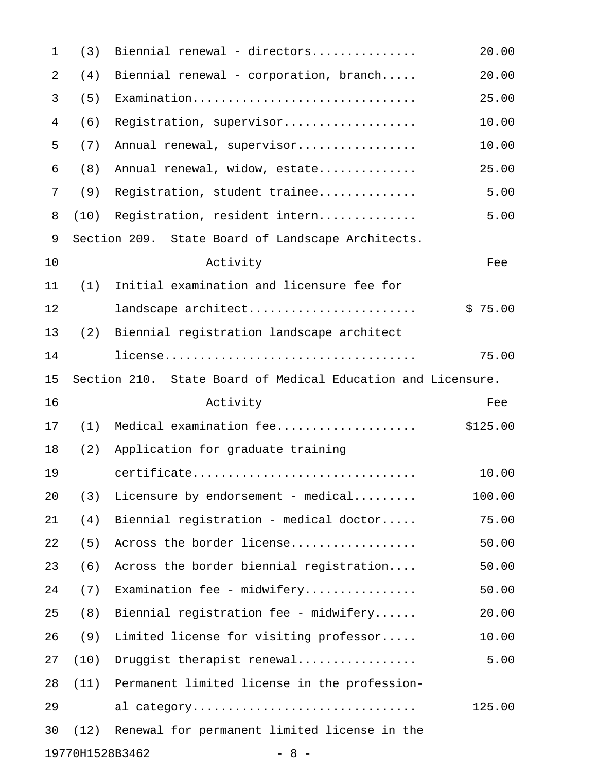| $\mathbf 1$    | (3)  | Biennial renewal - directors                                 | 20.00    |
|----------------|------|--------------------------------------------------------------|----------|
| $\overline{2}$ | (4)  | Biennial renewal - corporation, branch                       | 20.00    |
| 3              | (5)  | Examination                                                  | 25.00    |
| $\overline{4}$ | (6)  | Registration, supervisor                                     | 10.00    |
| 5              | (7)  | Annual renewal, supervisor                                   | 10.00    |
| 6              | (8)  | Annual renewal, widow, estate                                | 25.00    |
| 7              | (9)  | Registration, student trainee                                | 5.00     |
| 8              | (10) | Registration, resident intern                                | 5.00     |
| 9              |      | Section 209. State Board of Landscape Architects.            |          |
| 10             |      | Activity                                                     | Fee      |
| 11             | (1)  | Initial examination and licensure fee for                    |          |
| 12             |      | landscape architect                                          | \$75.00  |
| 13             | (2)  | Biennial registration landscape architect                    |          |
| 14             |      |                                                              | 75.00    |
| 15             |      | Section 210. State Board of Medical Education and Licensure. |          |
| 16             |      | Activity                                                     | Fee      |
| 17             | (1)  | Medical examination fee                                      | \$125.00 |
| 18             | (2)  | Application for graduate training                            |          |
| 19             |      | certificate                                                  | 10.00    |
| 20             | (3)  | Licensure by endorsement - medical                           | 100.00   |
| 21             | (4)  | Biennial registration - medical doctor                       | 75.00    |
| 22             | (5)  | Across the border license                                    | 50.00    |
| 23             | (6)  | Across the border biennial registration                      | 50.00    |
| 24             | (7)  | Examination fee - midwifery                                  | 50.00    |
| 25             | (8)  | Biennial registration fee - midwifery                        | 20.00    |
| 26             | (9)  | Limited license for visiting professor                       | 10.00    |
| 27             | (10) | Druggist therapist renewal                                   | 5.00     |
| 28             | (11) | Permanent limited license in the profession-                 |          |
| 29             |      | al category                                                  | 125.00   |
| 30             | (12) | Renewal for permanent limited license in the                 |          |
|                |      | 19770H1528B3462<br>$-8 -$                                    |          |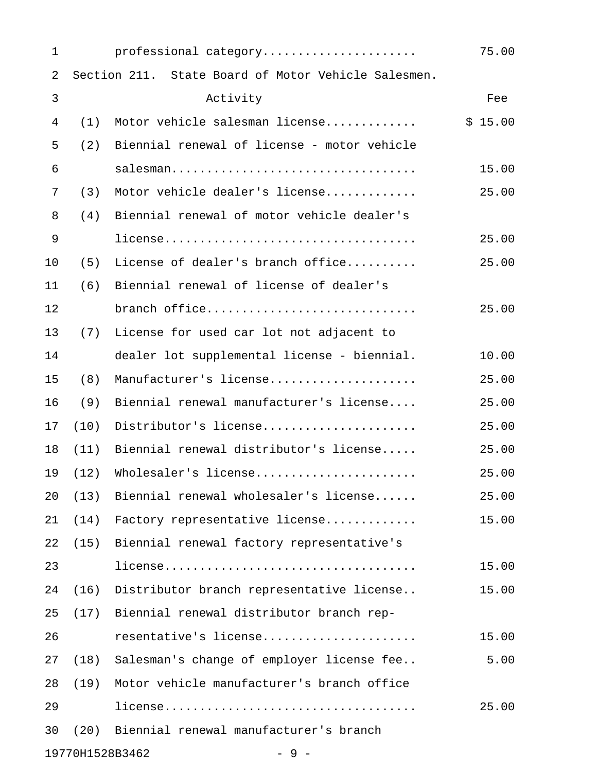| $\mathbf 1$    |      | professional category                               | 75.00   |
|----------------|------|-----------------------------------------------------|---------|
| $\overline{2}$ |      | Section 211. State Board of Motor Vehicle Salesmen. |         |
| 3              |      | Activity                                            | Fee     |
| 4              | (1)  | Motor vehicle salesman license                      | \$15.00 |
| 5              | (2)  | Biennial renewal of license - motor vehicle         |         |
| 6              |      | salesman                                            | 15.00   |
| 7              | (3)  | Motor vehicle dealer's license                      | 25.00   |
| 8              | (4)  | Biennial renewal of motor vehicle dealer's          |         |
| 9              |      |                                                     | 25.00   |
| 10             | (5)  | License of dealer's branch office                   | 25.00   |
| 11             | (6)  | Biennial renewal of license of dealer's             |         |
| 12             |      | branch office                                       | 25.00   |
| 13             | (7)  | License for used car lot not adjacent to            |         |
| 14             |      | dealer lot supplemental license - biennial.         | 10.00   |
| 15             | (8)  | Manufacturer's license                              | 25.00   |
| 16             | (9)  | Biennial renewal manufacturer's license             | 25.00   |
| 17             | (10) | Distributor's license                               | 25.00   |
| 18             | (11) | Biennial renewal distributor's license              | 25.00   |
| 19             | (12) | Wholesaler's license                                | 25.00   |
| 20             |      | $(13)$ Biennial renewal wholesaler's license        | 25.00   |
| 21             | (14) | Factory representative license                      | 15.00   |
| 22             | (15) | Biennial renewal factory representative's           |         |
| 23             |      |                                                     | 15.00   |
| 24             |      | (16) Distributor branch representative license      | 15.00   |
| 25             |      | (17) Biennial renewal distributor branch rep-       |         |
| 26             |      | resentative's license                               | 15.00   |
| 27             | (18) | Salesman's change of employer license fee           | 5.00    |
| 28             | (19) | Motor vehicle manufacturer's branch office          |         |
| 29             |      |                                                     | 25.00   |
| 30             | (20) | Biennial renewal manufacturer's branch              |         |
|                |      |                                                     |         |

19770H1528B3462 - 9 -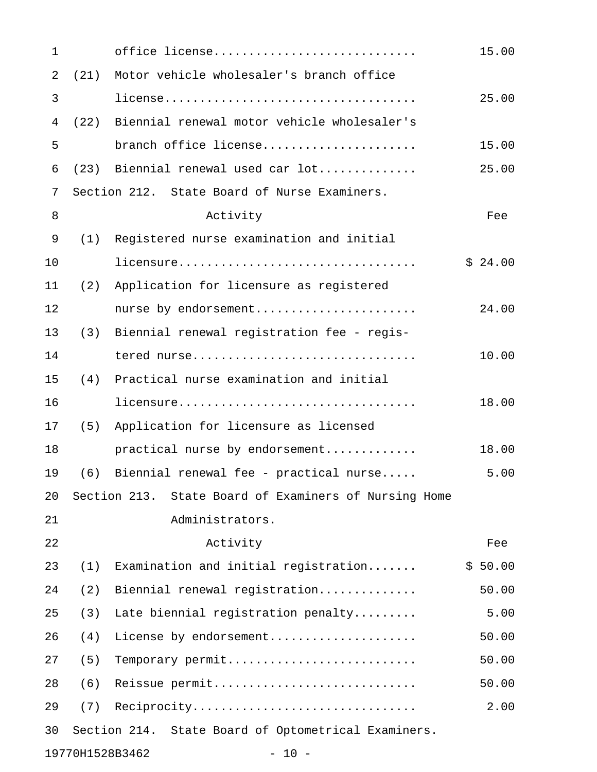| $\mathbf{1}$   |      | office license                                        | 15.00   |
|----------------|------|-------------------------------------------------------|---------|
| 2              | (21) | Motor vehicle wholesaler's branch office              |         |
| 3              |      |                                                       | 25.00   |
| $\overline{4}$ | (22) | Biennial renewal motor vehicle wholesaler's           |         |
| 5              |      | branch office license                                 | 15.00   |
| 6              |      | $(23)$ Biennial renewal used car $lot$                | 25.00   |
| 7              |      | Section 212. State Board of Nurse Examiners.          |         |
| 8              |      | Activity                                              | Fee     |
| 9              | (1)  | Registered nurse examination and initial              |         |
| 10             |      | licensure                                             | \$24.00 |
| 11             | (2)  | Application for licensure as registered               |         |
| 12             |      | nurse by endorsement                                  | 24.00   |
| 13             | (3)  | Biennial renewal registration fee - regis-            |         |
| 14             |      | tered nurse                                           | 10.00   |
| 15             | (4)  | Practical nurse examination and initial               |         |
| 16             |      | licensure                                             | 18.00   |
| 17             | (5)  | Application for licensure as licensed                 |         |
| 18             |      | practical nurse by endorsement                        | 18.00   |
| 19             | (6)  | Biennial renewal fee - practical nurse                | 5.00    |
| 20             |      | Section 213. State Board of Examiners of Nursing Home |         |
| 21             |      | Administrators.                                       |         |
| 22             |      | Activity                                              | Fee     |
| 23             | (1)  | Examination and initial registration                  | \$50.00 |
| 24             | (2)  | Biennial renewal registration                         | 50.00   |
| 25             | (3)  | Late biennial registration penalty                    | 5.00    |
| 26             | (4)  | License by endorsement                                | 50.00   |
| 27             | (5)  | Temporary permit                                      | 50.00   |
| 28             | (6)  | Reissue permit                                        | 50.00   |
| 29             | (7)  | Reciprocity                                           | 2.00    |
| 30             |      | Section 214. State Board of Optometrical Examiners.   |         |
|                |      | 19770H1528B3462<br>$-10 -$                            |         |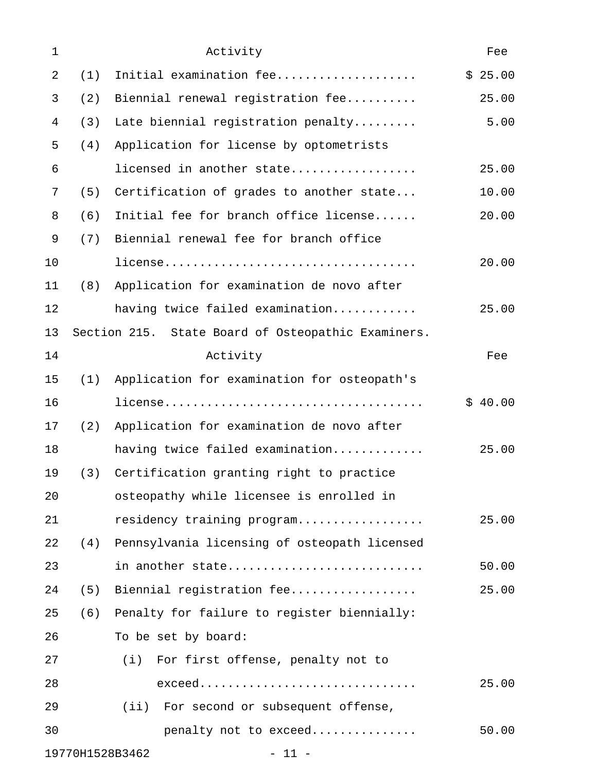| $\mathbf 1$    |                 | Activity                                           | Fee     |
|----------------|-----------------|----------------------------------------------------|---------|
| $\overline{2}$ | (1)             | Initial examination fee                            | \$25.00 |
| 3              | (2)             | Biennial renewal registration fee                  | 25.00   |
| $\overline{4}$ | (3)             | Late biennial registration penalty                 | 5.00    |
| 5              | (4)             | Application for license by optometrists            |         |
| 6              |                 | licensed in another state                          | 25.00   |
| 7              | (5)             | Certification of grades to another state           | 10.00   |
| 8              | (6)             | Initial fee for branch office license              | 20.00   |
| 9              | (7)             | Biennial renewal fee for branch office             |         |
| 10             |                 |                                                    | 20.00   |
| 11             | (8)             | Application for examination de novo after          |         |
| 12             |                 | having twice failed examination                    | 25.00   |
| 13             |                 | Section 215. State Board of Osteopathic Examiners. |         |
| 14             |                 | Activity                                           | Fee     |
| 15             | (1)             | Application for examination for osteopath's        |         |
| 16             |                 |                                                    | \$40.00 |
| 17             | (2)             | Application for examination de novo after          |         |
| 18             |                 | having twice failed examination                    | 25.00   |
| 19             | (3)             | Certification granting right to practice           |         |
| 20             |                 | osteopathy while licensee is enrolled in           |         |
| 21             |                 | residency training program                         | 25.00   |
| 22             | (4)             | Pennsylvania licensing of osteopath licensed       |         |
| 23             |                 | in another state                                   | 50.00   |
| 24             | (5)             | Biennial registration fee                          | 25.00   |
| 25             | (6)             | Penalty for failure to register biennially:        |         |
| 26             |                 | To be set by board:                                |         |
| 27             |                 | (i) For first offense, penalty not to              |         |
| 28             |                 | exceed                                             | 25.00   |
| 29             |                 | (ii) For second or subsequent offense,             |         |
| 30             |                 | penalty not to exceed                              | 50.00   |
|                | 19770H1528B3462 | $-11 -$                                            |         |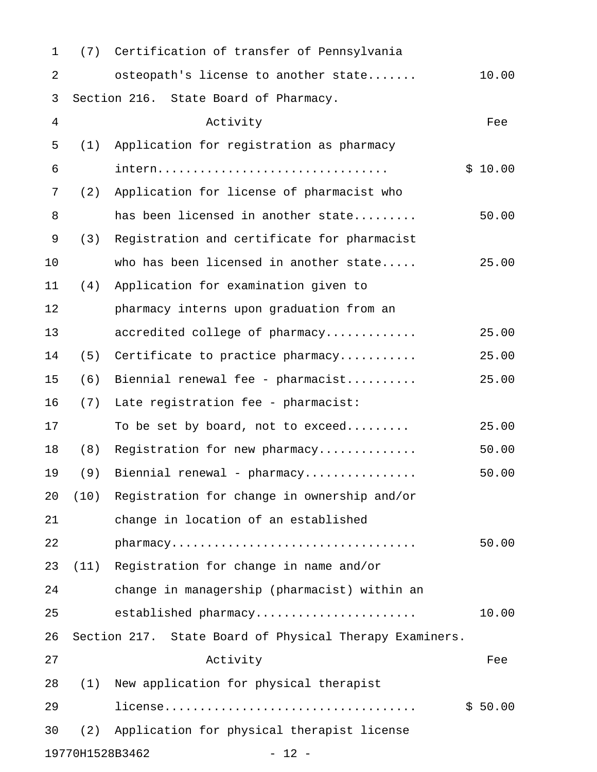| 1              | (7)             | Certification of transfer of Pennsylvania               |         |
|----------------|-----------------|---------------------------------------------------------|---------|
| 2              |                 | osteopath's license to another state                    | 10.00   |
| 3              |                 | Section 216. State Board of Pharmacy.                   |         |
| $\overline{4}$ |                 | Activity                                                | Fee     |
| 5              | (1)             | Application for registration as pharmacy                |         |
| 6              |                 | intern                                                  | \$10.00 |
| 7              | (2)             | Application for license of pharmacist who               |         |
| 8              |                 | has been licensed in another state                      | 50.00   |
| 9              | (3)             | Registration and certificate for pharmacist             |         |
| 10             |                 | who has been licensed in another state                  | 25.00   |
| 11             | (4)             | Application for examination given to                    |         |
| 12             |                 | pharmacy interns upon graduation from an                |         |
| 13             |                 | accredited college of pharmacy                          | 25.00   |
| 14             | (5)             | Certificate to practice pharmacy                        | 25.00   |
| 15             | (6)             | Biennial renewal fee - pharmacist                       | 25.00   |
| 16             | (7)             | Late registration fee - pharmacist:                     |         |
| 17             |                 | To be set by board, not to exceed                       | 25.00   |
| 18             | (8)             | Registration for new pharmacy                           | 50.00   |
| 19             | (9)             | Biennial renewal - pharmacy                             | 50.00   |
| 20             |                 | (10) Registration for change in ownership and/or        |         |
| 21             |                 | change in location of an established                    |         |
| 22             |                 |                                                         | 50.00   |
| 23             |                 | (11) Registration for change in name and/or             |         |
| 24             |                 | change in managership (pharmacist) within an            |         |
| 25             |                 | established pharmacy                                    | 10.00   |
| 26             |                 | Section 217. State Board of Physical Therapy Examiners. |         |
| 27             |                 | Activity                                                | Fee     |
| 28             | (1)             | New application for physical therapist                  |         |
| 29             |                 |                                                         | \$50.00 |
| 30             | (2)             | Application for physical therapist license              |         |
|                | 19770H1528B3462 | $-12 -$                                                 |         |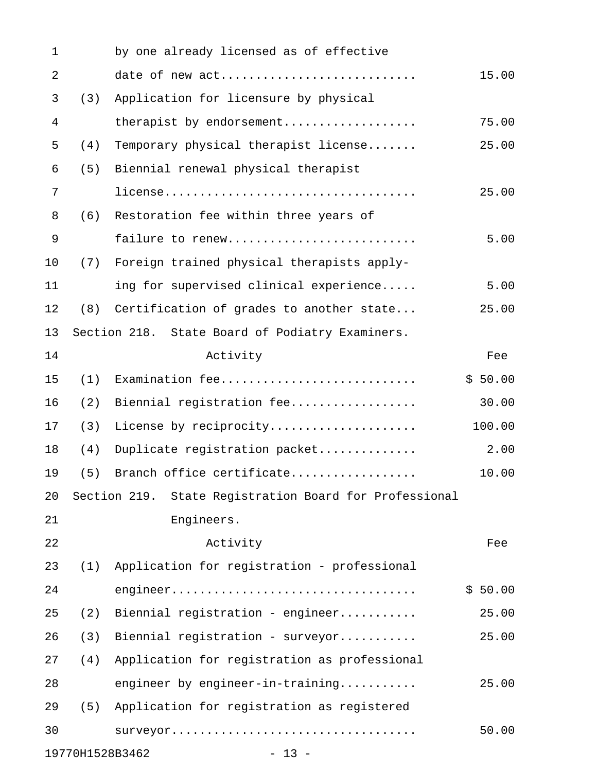| $\mathbf{1}$ |     | by one already licensed as of effective                |         |
|--------------|-----|--------------------------------------------------------|---------|
| 2            |     | date of new act                                        | 15.00   |
| $\mathsf{3}$ | (3) | Application for licensure by physical                  |         |
| 4            |     | therapist by endorsement                               | 75.00   |
| 5            | (4) | Temporary physical therapist license                   | 25.00   |
| 6            | (5) | Biennial renewal physical therapist                    |         |
| 7            |     |                                                        | 25.00   |
| 8            | (6) | Restoration fee within three years of                  |         |
| 9            |     | failure to renew                                       | 5.00    |
| 10           | (7) | Foreign trained physical therapists apply-             |         |
| 11           |     | ing for supervised clinical experience                 | 5.00    |
| 12           | (8) | Certification of grades to another state               | 25.00   |
| 13           |     | Section 218. State Board of Podiatry Examiners.        |         |
| 14           |     | Activity                                               | Fee     |
| 15           | (1) | Examination fee                                        | \$50.00 |
| 16           | (2) | Biennial registration fee                              | 30.00   |
| 17           | (3) | License by reciprocity                                 | 100.00  |
| 18           | (4) | Duplicate registration packet                          | 2.00    |
| 19           | (5) | Branch office certificate                              | 10.00   |
| 20           |     | Section 219. State Registration Board for Professional |         |
| 21           |     | Engineers.                                             |         |
| 22           |     | Activity                                               | Fee     |
| 23           | (1) | Application for registration - professional            |         |
| 24           |     |                                                        | \$50.00 |
| 25           | (2) | Biennial registration - engineer                       | 25.00   |
| 26           | (3) | Biennial registration - surveyor                       | 25.00   |
| 27           | (4) | Application for registration as professional           |         |
| 28           |     | engineer by engineer-in-training                       | 25.00   |
| 29           | (5) | Application for registration as registered             |         |
| 30           |     | surveyor                                               | 50.00   |
|              |     |                                                        |         |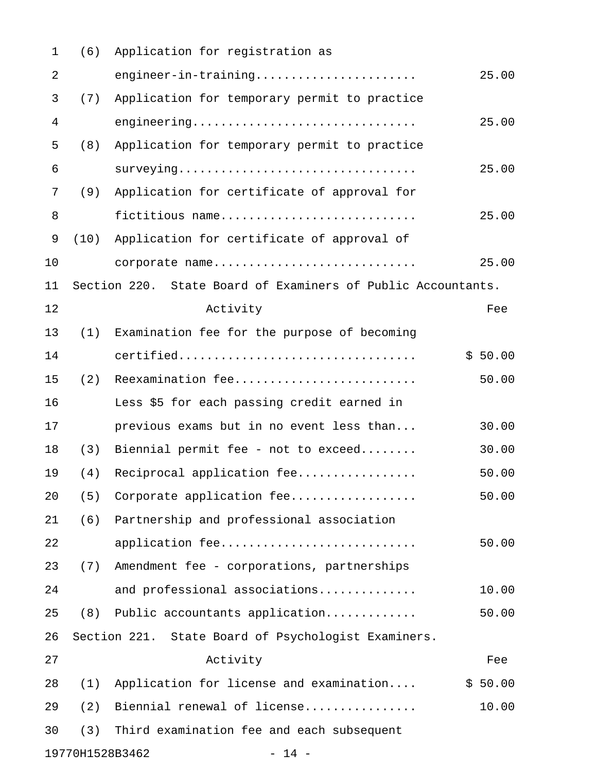| $\mathbf{1}$   | (6)  | Application for registration as                              |         |
|----------------|------|--------------------------------------------------------------|---------|
| $\overline{2}$ |      | engineer-in-training                                         | 25.00   |
| $\mathfrak{Z}$ | (7)  | Application for temporary permit to practice                 |         |
| 4              |      | engineering                                                  | 25.00   |
| 5              | (8)  | Application for temporary permit to practice                 |         |
| 6              |      | surveying                                                    | 25.00   |
| 7              | (9)  | Application for certificate of approval for                  |         |
| 8              |      | fictitious name                                              | 25.00   |
| $\mathsf 9$    | (10) | Application for certificate of approval of                   |         |
| 10             |      | corporate name                                               | 25.00   |
| 11             |      | Section 220. State Board of Examiners of Public Accountants. |         |
| 12             |      | Activity                                                     | Fee     |
| 13             | (1)  | Examination fee for the purpose of becoming                  |         |
| 14             |      | certified                                                    | \$50.00 |
| 15             | (2)  | Reexamination fee                                            | 50.00   |
| 16             |      | Less \$5 for each passing credit earned in                   |         |
| 17             |      | previous exams but in no event less than                     | 30.00   |
| 18             | (3)  | Biennial permit fee - not to exceed                          | 30.00   |
| 19             | (4)  | Reciprocal application fee                                   | 50.00   |
| 20             | (5)  | Corporate application fee                                    | 50.00   |
| 21             | (6)  | Partnership and professional association                     |         |
| 22             |      | application fee                                              | 50.00   |
| 23             | (7)  | Amendment fee - corporations, partnerships                   |         |
| 24             |      | and professional associations                                | 10.00   |
| 25             | (8)  | Public accountants application                               | 50.00   |
| 26             |      | Section 221. State Board of Psychologist Examiners.          |         |
| 27             |      | Activity                                                     | Fee     |
| 28             | (1)  | Application for license and examination                      | \$50.00 |
| 29             | (2)  | Biennial renewal of license                                  | 10.00   |
| 30             | (3)  | Third examination fee and each subsequent                    |         |
|                |      | 19770H1528B3462<br>$-14 -$                                   |         |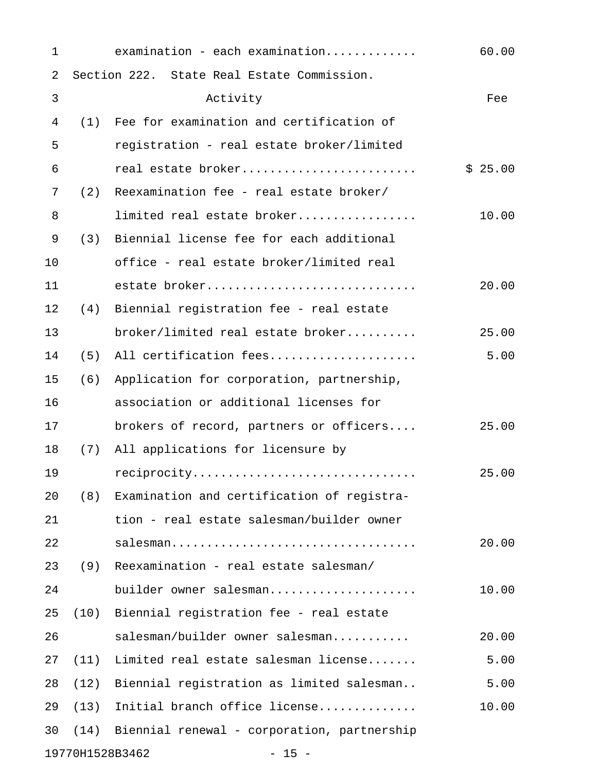| 1              |      | examination - each examination                 | 60.00   |
|----------------|------|------------------------------------------------|---------|
| $\overline{2}$ |      | Section 222. State Real Estate Commission.     |         |
| 3              |      | Activity                                       | Fee     |
| 4              | (1)  | Fee for examination and certification of       |         |
| 5              |      | registration - real estate broker/limited      |         |
| 6              |      | real estate broker                             | \$25.00 |
| 7              | (2)  | Reexamination fee - real estate broker/        |         |
| 8              |      | limited real estate broker                     | 10.00   |
| 9              | (3)  | Biennial license fee for each additional       |         |
| 10             |      | office - real estate broker/limited real       |         |
| 11             |      | estate broker                                  | 20.00   |
| 12             | (4)  | Biennial registration fee - real estate        |         |
| 13             |      | broker/limited real estate broker              | 25.00   |
| 14             | (5)  | All certification fees                         | 5.00    |
| 15             | (6)  | Application for corporation, partnership,      |         |
| 16             |      | association or additional licenses for         |         |
| 17             |      | brokers of record, partners or officers        | 25.00   |
| 18             | (7)  | All applications for licensure by              |         |
| 19             |      | reciprocity                                    | 25.00   |
| 20             |      | (8) Examination and certification of registra- |         |
| 21             |      | tion - real estate salesman/builder owner      |         |
| 22             |      | salesman                                       | 20.00   |
| 23             | (9)  | Reexamination - real estate salesman/          |         |
| 24             |      | builder owner salesman                         | 10.00   |
| 25             | (10) | Biennial registration fee - real estate        |         |
| 26             |      | salesman/builder owner salesman                | 20.00   |
| 27             | (11) | Limited real estate salesman license           | 5.00    |
| 28             | (12) | Biennial registration as limited salesman      | 5.00    |
| 29             | (13) | Initial branch office license                  | 10.00   |
| 30             | (14) | Biennial renewal - corporation, partnership    |         |
|                |      | 19770H1528B3462<br>$-15 -$                     |         |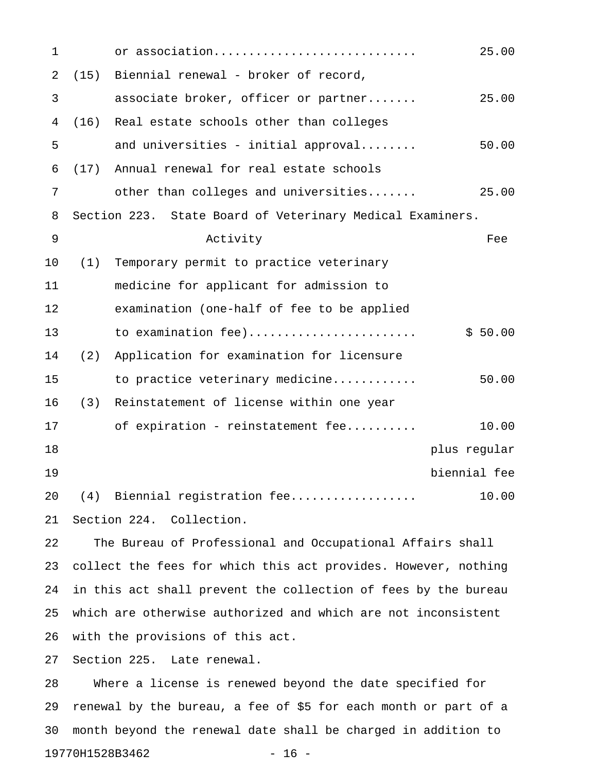| $\mathbf 1$    |      | or association                                                  | 25.00        |
|----------------|------|-----------------------------------------------------------------|--------------|
| $\overline{2}$ | (15) | Biennial renewal - broker of record,                            |              |
| 3              |      | associate broker, officer or partner                            | 25.00        |
| 4              | (16) | Real estate schools other than colleges                         |              |
| 5              |      | and universities - initial approval                             | 50.00        |
| 6              | (17) | Annual renewal for real estate schools                          |              |
| 7              |      | other than colleges and universities                            | 25.00        |
| 8              |      | Section 223. State Board of Veterinary Medical Examiners.       |              |
| 9              |      | Activity                                                        | Fee          |
| 10             | (1)  | Temporary permit to practice veterinary                         |              |
| 11             |      | medicine for applicant for admission to                         |              |
| 12             |      | examination (one-half of fee to be applied                      |              |
| 13             |      | to examination fee)                                             | \$50.00      |
| 14             | (2)  | Application for examination for licensure                       |              |
| 15             |      | to practice veterinary medicine                                 | 50.00        |
| 16             | (3)  | Reinstatement of license within one year                        |              |
| 17             |      | of expiration - reinstatement fee                               | 10.00        |
| 18             |      |                                                                 | plus regular |
| 19             |      |                                                                 | biennial fee |
| 20             |      | (4) Biennial registration fee                                   | 10.00        |
| 21             |      | Section 224. Collection.                                        |              |
| 22             |      | The Bureau of Professional and Occupational Affairs shall       |              |
| 23             |      | collect the fees for which this act provides. However, nothing  |              |
| 24             |      | in this act shall prevent the collection of fees by the bureau  |              |
| 25             |      | which are otherwise authorized and which are not inconsistent   |              |
| 26             |      | with the provisions of this act.                                |              |
| 27             |      | Section 225. Late renewal.                                      |              |
| 28             |      | Where a license is renewed beyond the date specified for        |              |
| 29             |      | renewal by the bureau, a fee of \$5 for each month or part of a |              |
| 30             |      | month beyond the renewal date shall be charged in addition to   |              |

19770H1528B3462 - 16 -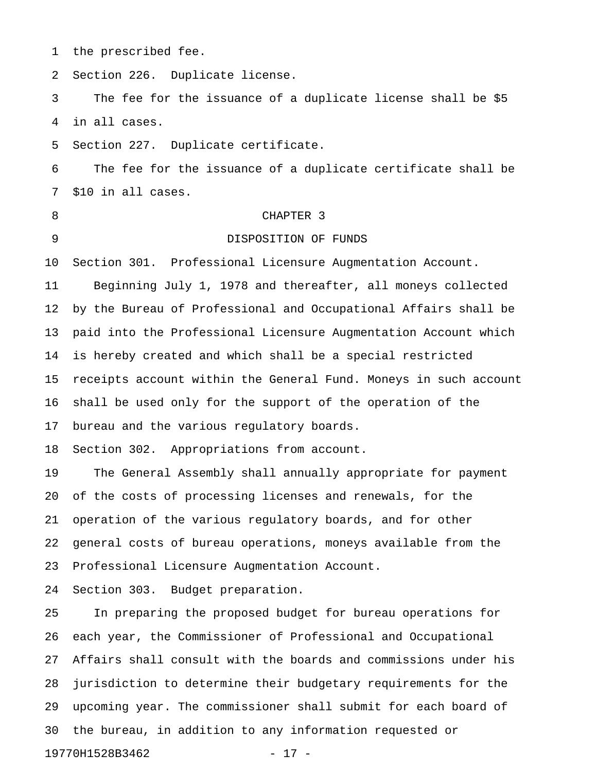1 the prescribed fee. 2 Section 226. Duplicate license. 3 The fee for the issuance of a duplicate license shall be \$5 4 in all cases. 5 Section 227. Duplicate certificate. 6 The fee for the issuance of a duplicate certificate shall be 7 \$10 in all cases. 8 CHAPTER 3 9 DISPOSITION OF FUNDS 10 Section 301. Professional Licensure Augmentation Account. 11 Beginning July 1, 1978 and thereafter, all moneys collected 12 by the Bureau of Professional and Occupational Affairs shall be 13 paid into the Professional Licensure Augmentation Account which 14 is hereby created and which shall be a special restricted 15 receipts account within the General Fund. Moneys in such account 16 shall be used only for the support of the operation of the 17 bureau and the various regulatory boards. 18 Section 302. Appropriations from account. 19 The General Assembly shall annually appropriate for payment 20 of the costs of processing licenses and renewals, for the 21 operation of the various regulatory boards, and for other 22 general costs of bureau operations, moneys available from the 23 Professional Licensure Augmentation Account. 24 Section 303. Budget preparation. 25 In preparing the proposed budget for bureau operations for 26 each year, the Commissioner of Professional and Occupational 27 Affairs shall consult with the boards and commissions under his 28 jurisdiction to determine their budgetary requirements for the 29 upcoming year. The commissioner shall submit for each board of 30 the bureau, in addition to any information requested or 19770H1528B3462 - 17 -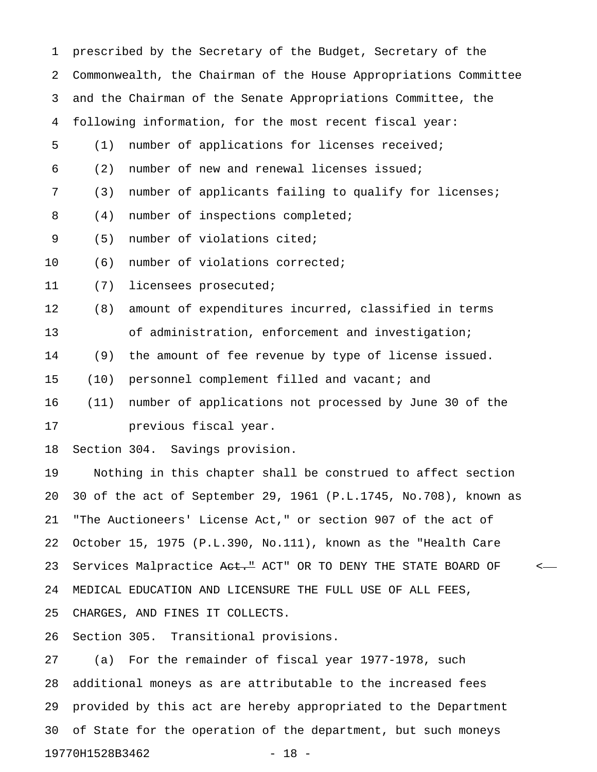| 1       | prescribed by the Secretary of the Budget, Secretary of the      |
|---------|------------------------------------------------------------------|
| 2       | Commonwealth, the Chairman of the House Appropriations Committee |
| 3       | and the Chairman of the Senate Appropriations Committee, the     |
| 4       | following information, for the most recent fiscal year:          |
| 5       | number of applications for licenses received;<br>(1)             |
| 6       | (2)<br>number of new and renewal licenses issued;                |
| 7       | number of applicants failing to qualify for licenses;<br>(3)     |
| 8       | (4)<br>number of inspections completed;                          |
| 9       | number of violations cited;<br>(5)                               |
| $10 \,$ | (6)<br>number of violations corrected;                           |
| 11      | licensees prosecuted;<br>(7)                                     |
| 12      | (8)<br>amount of expenditures incurred, classified in terms      |
| 13      | of administration, enforcement and investigation;                |
| 14      | (9)<br>the amount of fee revenue by type of license issued.      |
| 15      | (10)<br>personnel complement filled and vacant; and              |
| 16      | (11)<br>number of applications not processed by June 30 of the   |
| 17      | previous fiscal year.                                            |
| 18      | Section 304. Savings provision.                                  |
| 19      | Nothing in this chapter shall be construed to affect section     |
| 20      | 30 of the act of September 29, 1961 (P.L.1745, No.708), known as |
| 21      | "The Auctioneers' License Act," or section 907 of the act of     |
| 22      | October 15, 1975 (P.L.390, No.111), known as the "Health Care    |
| 23      | Services Malpractice Aet." ACT" OR TO DENY THE STATE BOARD OF    |
| 24      | MEDICAL EDUCATION AND LICENSURE THE FULL USE OF ALL FEES,        |
| 25      | CHARGES, AND FINES IT COLLECTS.                                  |
| 26      | Section 305. Transitional provisions.                            |
| 27      | For the remainder of fiscal year 1977-1978, such<br>(a)          |
| 28      | additional moneys as are attributable to the increased fees      |

29 provided by this act are hereby appropriated to the Department 30 of State for the operation of the department, but such moneys 19770H1528B3462 - 18 -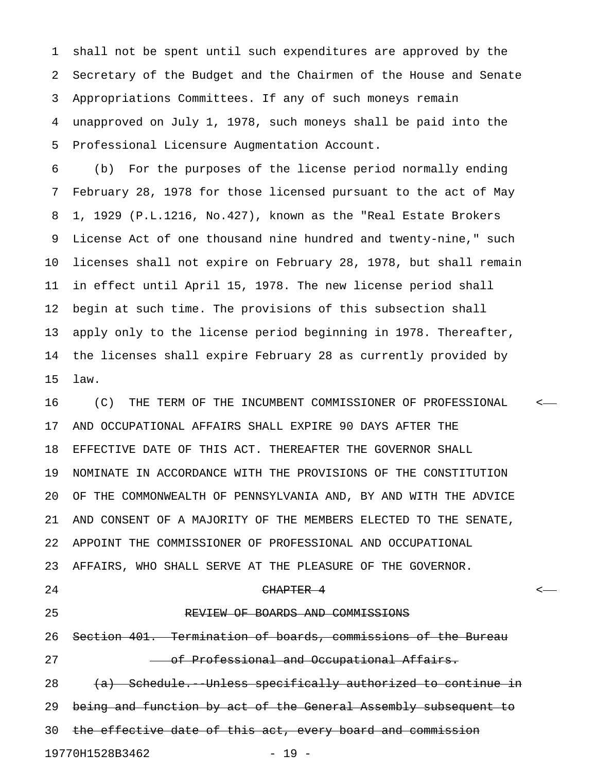1 shall not be spent until such expenditures are approved by the 2 Secretary of the Budget and the Chairmen of the House and Senate 3 Appropriations Committees. If any of such moneys remain 4 unapproved on July 1, 1978, such moneys shall be paid into the 5 Professional Licensure Augmentation Account.

6 (b) For the purposes of the license period normally ending 7 February 28, 1978 for those licensed pursuant to the act of May 8 1, 1929 (P.L.1216, No.427), known as the "Real Estate Brokers 9 License Act of one thousand nine hundred and twenty-nine," such 10 licenses shall not expire on February 28, 1978, but shall remain 11 in effect until April 15, 1978. The new license period shall 12 begin at such time. The provisions of this subsection shall 13 apply only to the license period beginning in 1978. Thereafter, 14 the licenses shall expire February 28 as currently provided by 15 law.

16 (C) THE TERM OF THE INCUMBENT COMMISSIONER OF PROFESSIONAL < 17 AND OCCUPATIONAL AFFAIRS SHALL EXPIRE 90 DAYS AFTER THE 18 EFFECTIVE DATE OF THIS ACT. THEREAFTER THE GOVERNOR SHALL 19 NOMINATE IN ACCORDANCE WITH THE PROVISIONS OF THE CONSTITUTION 20 OF THE COMMONWEALTH OF PENNSYLVANIA AND, BY AND WITH THE ADVICE 21 AND CONSENT OF A MAJORITY OF THE MEMBERS ELECTED TO THE SENATE, 22 APPOINT THE COMMISSIONER OF PROFESSIONAL AND OCCUPATIONAL 23 AFFAIRS, WHO SHALL SERVE AT THE PLEASURE OF THE GOVERNOR. 24 CHAPTER 4 25 REVIEW OF BOARDS AND COMMISSIONS 26 Section 401. Termination of boards, commissions of the Bureau 27 **carrier of Professional and Occupational Affairs.** 28  $(a)$  Schedule. Unless specifically authorized to continue in 29 being and function by act of the General Assembly subsequent to 30 the effective date of this act, every board and commission 19770H1528B3462 - 19 -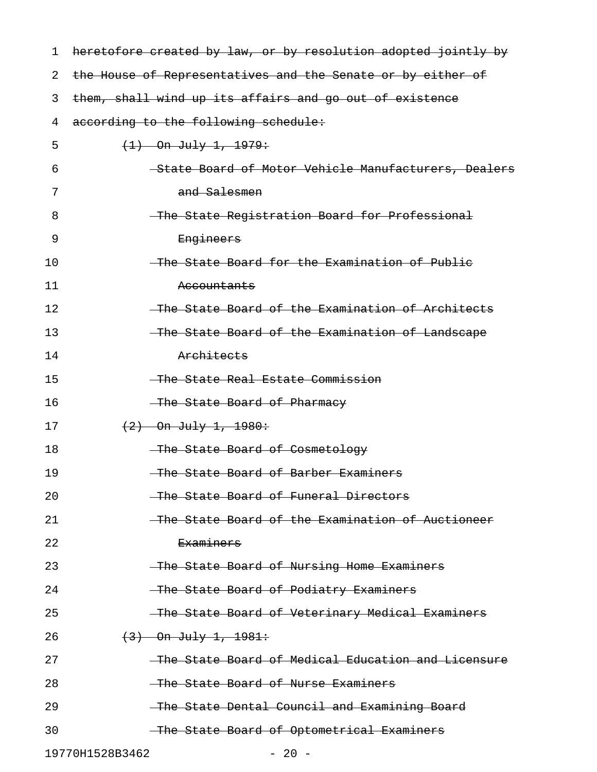| 1  | heretofore created by law, or by resolution adopted jointly by |
|----|----------------------------------------------------------------|
| 2  | the House of Representatives and the Senate or by either of    |
| 3  | them, shall wind up its affairs and go out of existence        |
| 4  | according to the following schedule:                           |
| 5  | $(1)$ On July 1, 1979:                                         |
| 6  | -State Board of Motor Vehicle Manufacturers, Dealers           |
| 7  | and Salesmen                                                   |
| 8  | The State Registration Board for Professional                  |
| 9  | Engineers                                                      |
| 10 | The State Board for the Examination of Publie                  |
| 11 | Accountants                                                    |
| 12 | The State Board of the Examination of Architects               |
| 13 | The State Board of the Examination of Landscape                |
| 14 | Architects                                                     |
| 15 | -The State Real Estate Commission                              |
| 16 | The State Board of Pharmacy                                    |
| 17 | $(2)$ On July 1, 1980:                                         |
| 18 | The State Board of Cosmetology                                 |
| 19 | The State Board of Barber Examiners                            |
| 20 | The State Board of Funeral Directors                           |
| 21 | The State Board of the Examination of Auctioneer               |
| 22 | <b>Examiners</b>                                               |
| 23 | -The State Board of Nursing Home Examiners                     |
| 24 | -The State Board of Podiatry Examiners                         |
| 25 | The State Board of Veterinary Medical Examiners                |
| 26 | $(3)$ On July 1, 1981:                                         |
| 27 | -The State Board of Medical Education and Licensure            |
| 28 | The State Board of Nurse Examiners                             |
| 29 | The State Dental Council and Examining Board                   |
| 30 | The State Board of Optometrical Examiners                      |
|    |                                                                |

19770H1528B3462 - 20 -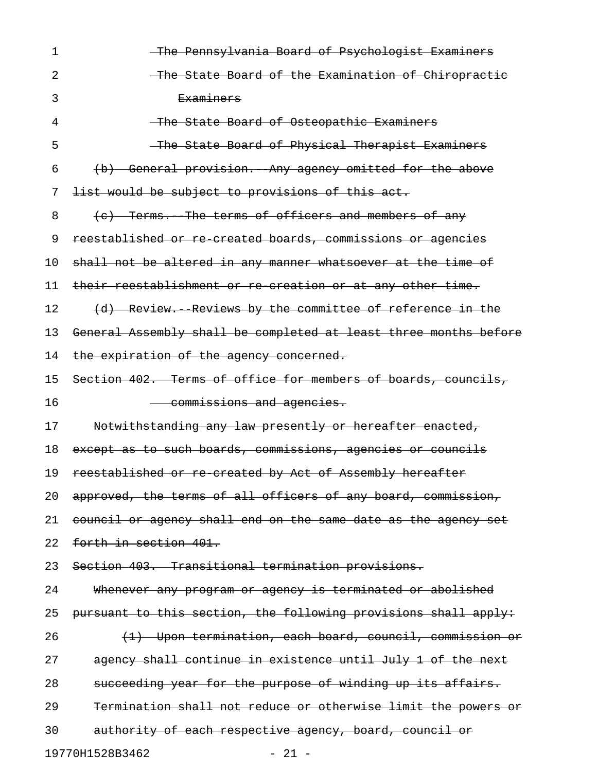| 1  | -The Pennsylvania Board of Psychologist Examiners                |
|----|------------------------------------------------------------------|
| 2  | -The State Board of the Examination of Chiropractic              |
| 3  | <b>Examiners</b>                                                 |
| 4  | The State Board of Osteopathic Examiners                         |
| 5  | The State Board of Physical Therapist Examiners                  |
| 6  | (b) General provision. Any agency omitted for the above          |
| 7  | list would be subject to provisions of this act.                 |
| 8  | (e) Terms. The terms of officers and members of any              |
| 9  | reestablished or re created boards, commissions or agencies      |
| 10 | shall not be altered in any manner whatsoever at the time of     |
| 11 | their reestablishment or re creation or at any other time.       |
| 12 | (d) Review. Reviews by the committee of reference in the         |
| 13 | General Assembly shall be completed at least three months before |
| 14 | the expiration of the agency concerned.                          |
| 15 | Section 402. Terms of office for members of boards, councils,    |
| 16 | commissions and agencies.                                        |
| 17 | Notwithstanding any law presently or hereafter enacted,          |
| 18 | except as to such boards, commissions, agencies or councils      |
| 19 | reestablished or re created by Act of Assembly hereafter         |
| 20 | approved, the terms of all officers of any board, commission,    |
| 21 | council or agency shall end on the same date as the agency set   |
| 22 | forth in section 401.                                            |
| 23 | Section 403. Transitional termination provisions.                |
| 24 | Whenever any program or agency is terminated or abolished        |
| 25 | pursuant to this section, the following provisions shall apply:  |
| 26 | (1) Upon termination, each board, council, commission or         |
| 27 | agency shall continue in existence until July 1 of the next      |
| 28 | succeeding year for the purpose of winding up its affairs.       |
| 29 | Termination shall not reduce or otherwise limit the powers or    |
| 30 | authority of each respective agency, board, council or           |
|    | 19770H1528B3462<br>$-21 -$                                       |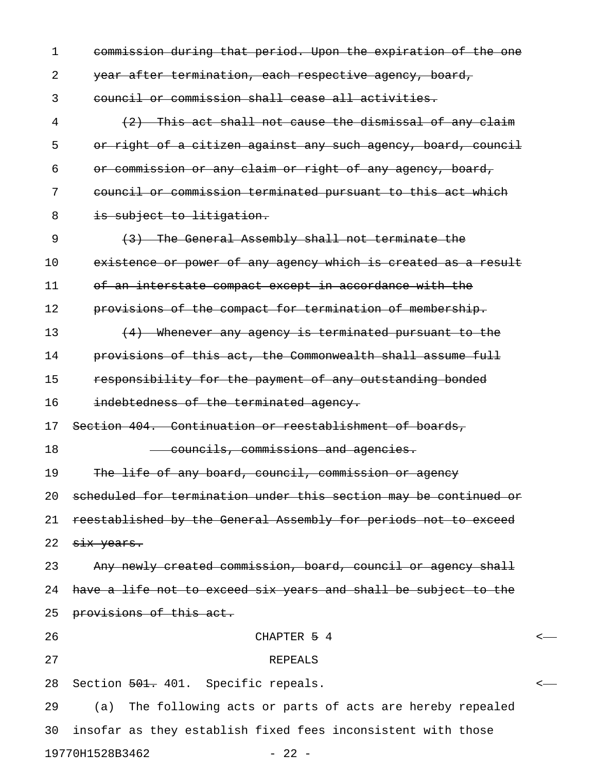1 commission during that period. Upon the expiration of the one 2 year after termination, each respective agency, board, 3 council or commission shall cease all activities.  $4$  (2) This act shall not cause the dismissal of any claim 5 or right of a citizen against any such agency, board, council 6 or commission or any claim or right of any agency, board, 7 council or commission terminated pursuant to this act which 8 is subject to litigation. 9 (3) The General Assembly shall not terminate the 10 existence or power of any agency which is created as a result 11 of an interstate compact except in accordance with the 12 provisions of the compact for termination of membership. 13 (4) Whenever any agency is terminated pursuant to the 14 **provisions of this act, the Commonwealth shall assume full** 15 responsibility for the payment of any outstanding bonded 16 indebtedness of the terminated agency. 17 Section 404. Continuation or reestablishment of boards, 18 **- councils, commissions and agencies.** 19 The life of any board, council, commission or agency 20 scheduled for termination under this section may be continued or 21 reestablished by the General Assembly for periods not to exceed 22 six years. 23 Any newly created commission, board, council or agency shall 24 have a life not to exceed six years and shall be subject to the 25 provisions of this act. 26 CHAPTER 5 4 < 27 REPEALS 28 Section <del>501.</del> 401. Specific repeals.  $\leftarrow$ 29 (a) The following acts or parts of acts are hereby repealed 30 insofar as they establish fixed fees inconsistent with those

19770H1528B3462 - 22 -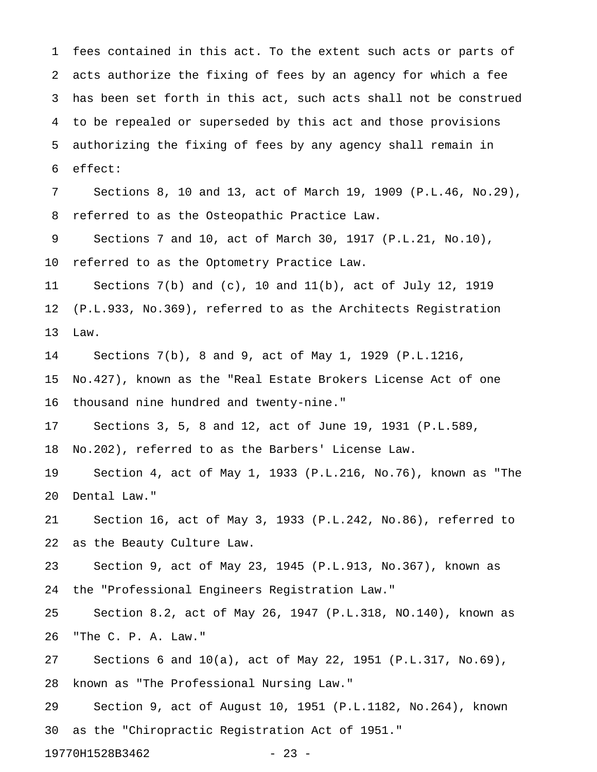1 fees contained in this act. To the extent such acts or parts of 2 acts authorize the fixing of fees by an agency for which a fee 3 has been set forth in this act, such acts shall not be construed 4 to be repealed or superseded by this act and those provisions 5 authorizing the fixing of fees by any agency shall remain in 6 effect:

7 Sections 8, 10 and 13, act of March 19, 1909 (P.L.46, No.29), 8 referred to as the Osteopathic Practice Law.

9 Sections 7 and 10, act of March 30, 1917 (P.L.21, No.10), 10 referred to as the Optometry Practice Law.

11 Sections 7(b) and (c), 10 and 11(b), act of July 12, 1919 12 (P.L.933, No.369), referred to as the Architects Registration 13 Law.

14 Sections 7(b), 8 and 9, act of May 1, 1929 (P.L.1216,

15 No.427), known as the "Real Estate Brokers License Act of one 16 thousand nine hundred and twenty-nine."

17 Sections 3, 5, 8 and 12, act of June 19, 1931 (P.L.589,

18 No.202), referred to as the Barbers' License Law.

19 Section 4, act of May 1, 1933 (P.L.216, No.76), known as "The 20 Dental Law."

21 Section 16, act of May 3, 1933 (P.L.242, No.86), referred to 22 as the Beauty Culture Law.

23 Section 9, act of May 23, 1945 (P.L.913, No.367), known as 24 the "Professional Engineers Registration Law."

25 Section 8.2, act of May 26, 1947 (P.L.318, NO.140), known as 26 "The C. P. A. Law."

27 Sections 6 and 10(a), act of May 22, 1951 (P.L.317, No.69), 28 known as "The Professional Nursing Law."

29 Section 9, act of August 10, 1951 (P.L.1182, No.264), known 30 as the "Chiropractic Registration Act of 1951."

19770H1528B3462 - 23 -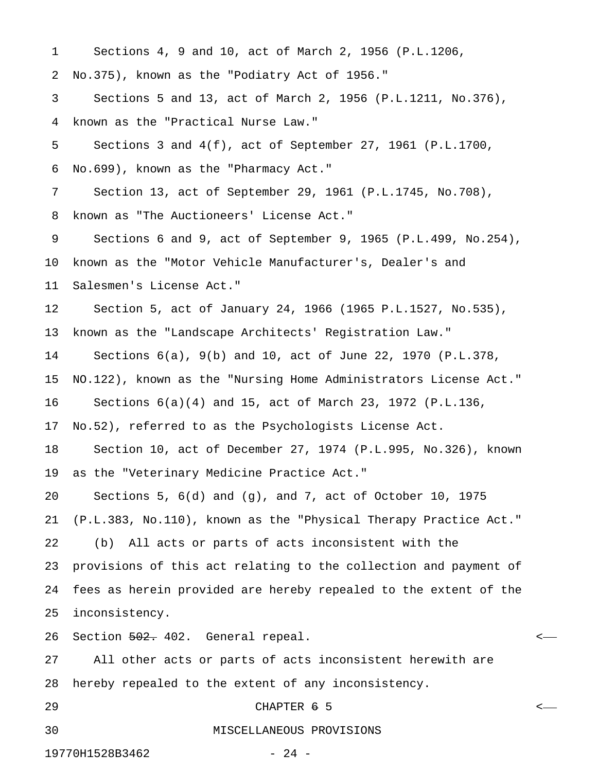1 Sections 4, 9 and 10, act of March 2, 1956 (P.L.1206, 2 No.375), known as the "Podiatry Act of 1956." 3 Sections 5 and 13, act of March 2, 1956 (P.L.1211, No.376), 4 known as the "Practical Nurse Law." 5 Sections 3 and 4(f), act of September 27, 1961 (P.L.1700, 6 No.699), known as the "Pharmacy Act." 7 Section 13, act of September 29, 1961 (P.L.1745, No.708), 8 known as "The Auctioneers' License Act." 9 Sections 6 and 9, act of September 9, 1965 (P.L.499, No.254), 10 known as the "Motor Vehicle Manufacturer's, Dealer's and 11 Salesmen's License Act." 12 Section 5, act of January 24, 1966 (1965 P.L.1527, No.535), 13 known as the "Landscape Architects' Registration Law." 14 Sections 6(a), 9(b) and 10, act of June 22, 1970 (P.L.378, 15 NO.122), known as the "Nursing Home Administrators License Act." 16 Sections 6(a)(4) and 15, act of March 23, 1972 (P.L.136, 17 No.52), referred to as the Psychologists License Act. 18 Section 10, act of December 27, 1974 (P.L.995, No.326), known 19 as the "Veterinary Medicine Practice Act." 20 Sections 5, 6(d) and (g), and 7, act of October 10, 1975 21 (P.L.383, No.110), known as the "Physical Therapy Practice Act." 22 (b) All acts or parts of acts inconsistent with the 23 provisions of this act relating to the collection and payment of 24 fees as herein provided are hereby repealed to the extent of the 25 inconsistency. 26 Section <del>502.</del> 402. General repeal.  $\sim$ 27 All other acts or parts of acts inconsistent herewith are 28 hereby repealed to the extent of any inconsistency. 29 CHAPTER 6 5 < 30 MISCELLANEOUS PROVISIONS

19770H1528B3462 - 24 -